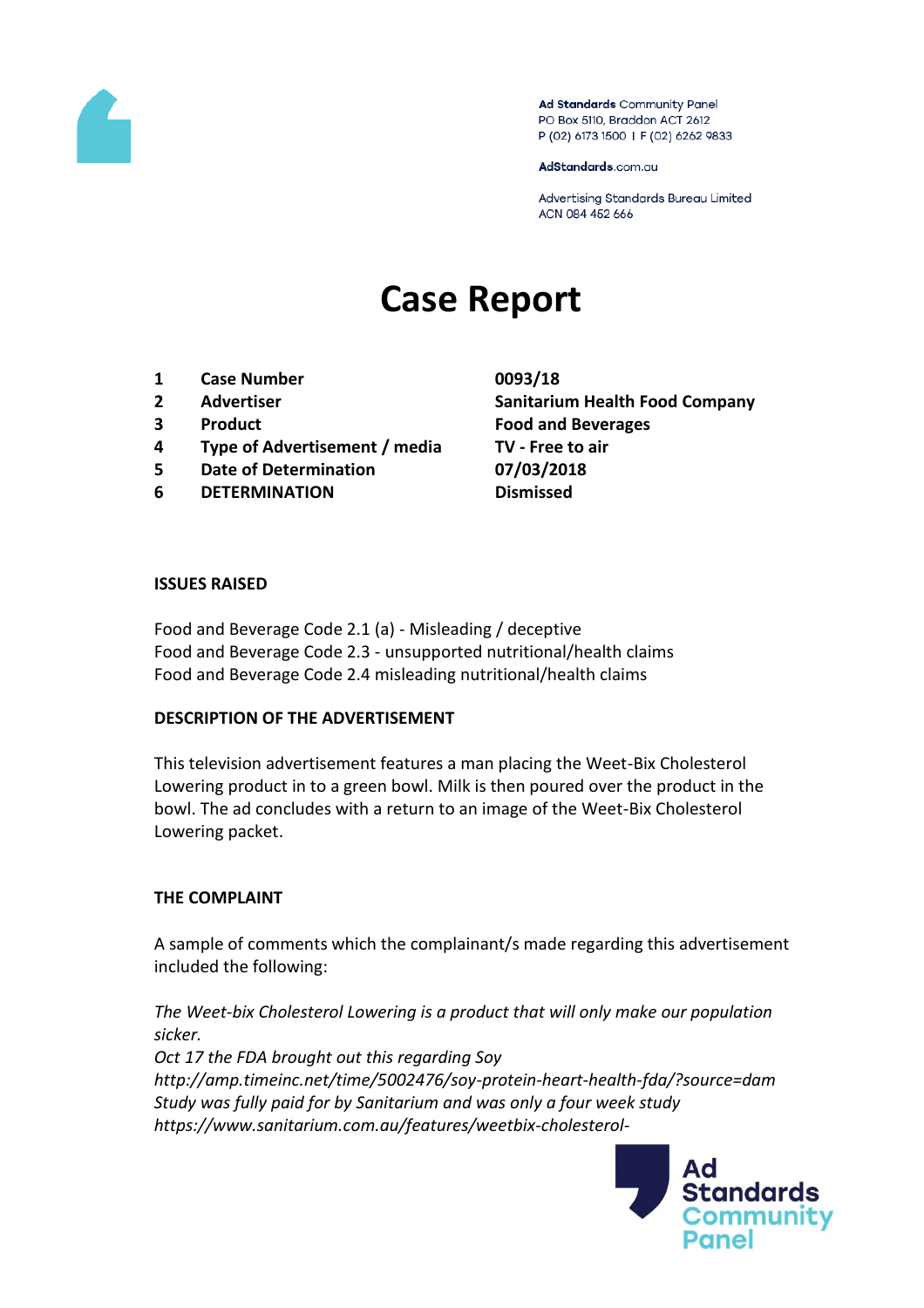

Ad Standards Community Panel PO Box 5110, Braddon ACT 2612 P (02) 6173 1500 | F (02) 6262 9833

AdStandards.com.au

Advertising Standards Bureau Limited ACN 084 452 666

# **Case Report**

- **1 Case Number 0093/18**
- 
- 
- **4 Type of Advertisement / media TV - Free to air**
- **5 Date of Determination 07/03/2018**
- **6 DETERMINATION Dismissed**

**2 Advertiser Sanitarium Health Food Company 3 Product Food and Beverages**

#### **ISSUES RAISED**

Food and Beverage Code 2.1 (a) - Misleading / deceptive Food and Beverage Code 2.3 - unsupported nutritional/health claims Food and Beverage Code 2.4 misleading nutritional/health claims

#### **DESCRIPTION OF THE ADVERTISEMENT**

This television advertisement features a man placing the Weet-Bix Cholesterol Lowering product in to a green bowl. Milk is then poured over the product in the bowl. The ad concludes with a return to an image of the Weet-Bix Cholesterol Lowering packet.

#### **THE COMPLAINT**

A sample of comments which the complainant/s made regarding this advertisement included the following:

*The Weet-bix Cholesterol Lowering is a product that will only make our population sicker.*

*Oct 17 the FDA brought out this regarding Soy http://amp.timeinc.net/time/5002476/soy-protein-heart-health-fda/?source=dam Study was fully paid for by Sanitarium and was only a four week study https://www.sanitarium.com.au/features/weetbix-cholesterol-*

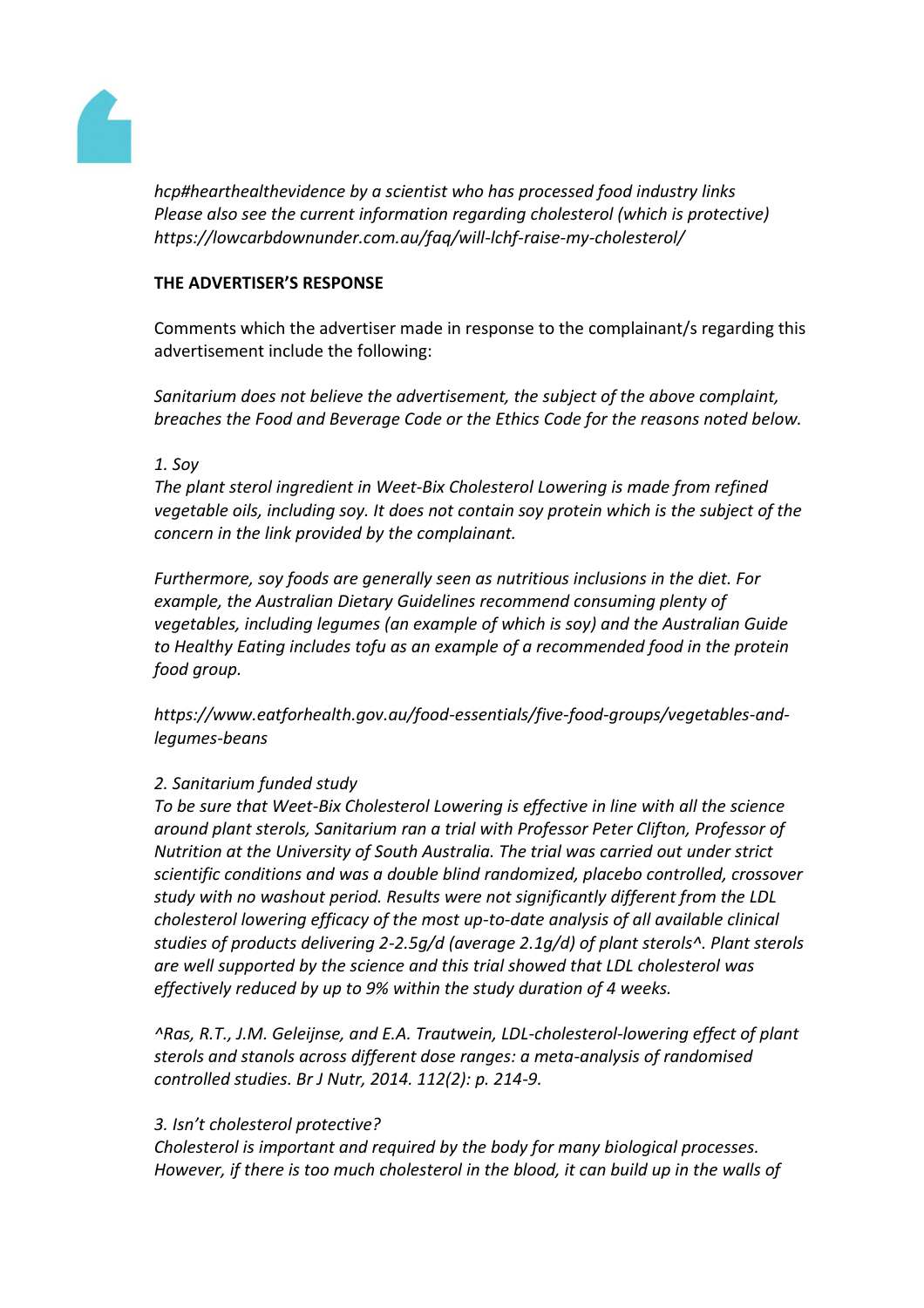

*hcp#hearthealthevidence by a scientist who has processed food industry links Please also see the current information regarding cholesterol (which is protective) https://lowcarbdownunder.com.au/faq/will-lchf-raise-my-cholesterol/*

### **THE ADVERTISER'S RESPONSE**

Comments which the advertiser made in response to the complainant/s regarding this advertisement include the following:

*Sanitarium does not believe the advertisement, the subject of the above complaint, breaches the Food and Beverage Code or the Ethics Code for the reasons noted below.*

# *1. Soy*

*The plant sterol ingredient in Weet-Bix Cholesterol Lowering is made from refined vegetable oils, including soy. It does not contain soy protein which is the subject of the concern in the link provided by the complainant.* 

*Furthermore, soy foods are generally seen as nutritious inclusions in the diet. For example, the Australian Dietary Guidelines recommend consuming plenty of vegetables, including legumes (an example of which is soy) and the Australian Guide to Healthy Eating includes tofu as an example of a recommended food in the protein food group.*

*https://www.eatforhealth.gov.au/food-essentials/five-food-groups/vegetables-andlegumes-beans*

# *2. Sanitarium funded study*

*To be sure that Weet-Bix Cholesterol Lowering is effective in line with all the science around plant sterols, Sanitarium ran a trial with Professor Peter Clifton, Professor of Nutrition at the University of South Australia. The trial was carried out under strict scientific conditions and was a double blind randomized, placebo controlled, crossover study with no washout period. Results were not significantly different from the LDL cholesterol lowering efficacy of the most up-to-date analysis of all available clinical studies of products delivering 2-2.5g/d (average 2.1g/d) of plant sterols^. Plant sterols are well supported by the science and this trial showed that LDL cholesterol was effectively reduced by up to 9% within the study duration of 4 weeks.* 

*^Ras, R.T., J.M. Geleijnse, and E.A. Trautwein, LDL-cholesterol-lowering effect of plant sterols and stanols across different dose ranges: a meta-analysis of randomised controlled studies. Br J Nutr, 2014. 112(2): p. 214-9.*

#### *3. Isn't cholesterol protective?*

*Cholesterol is important and required by the body for many biological processes. However, if there is too much cholesterol in the blood, it can build up in the walls of*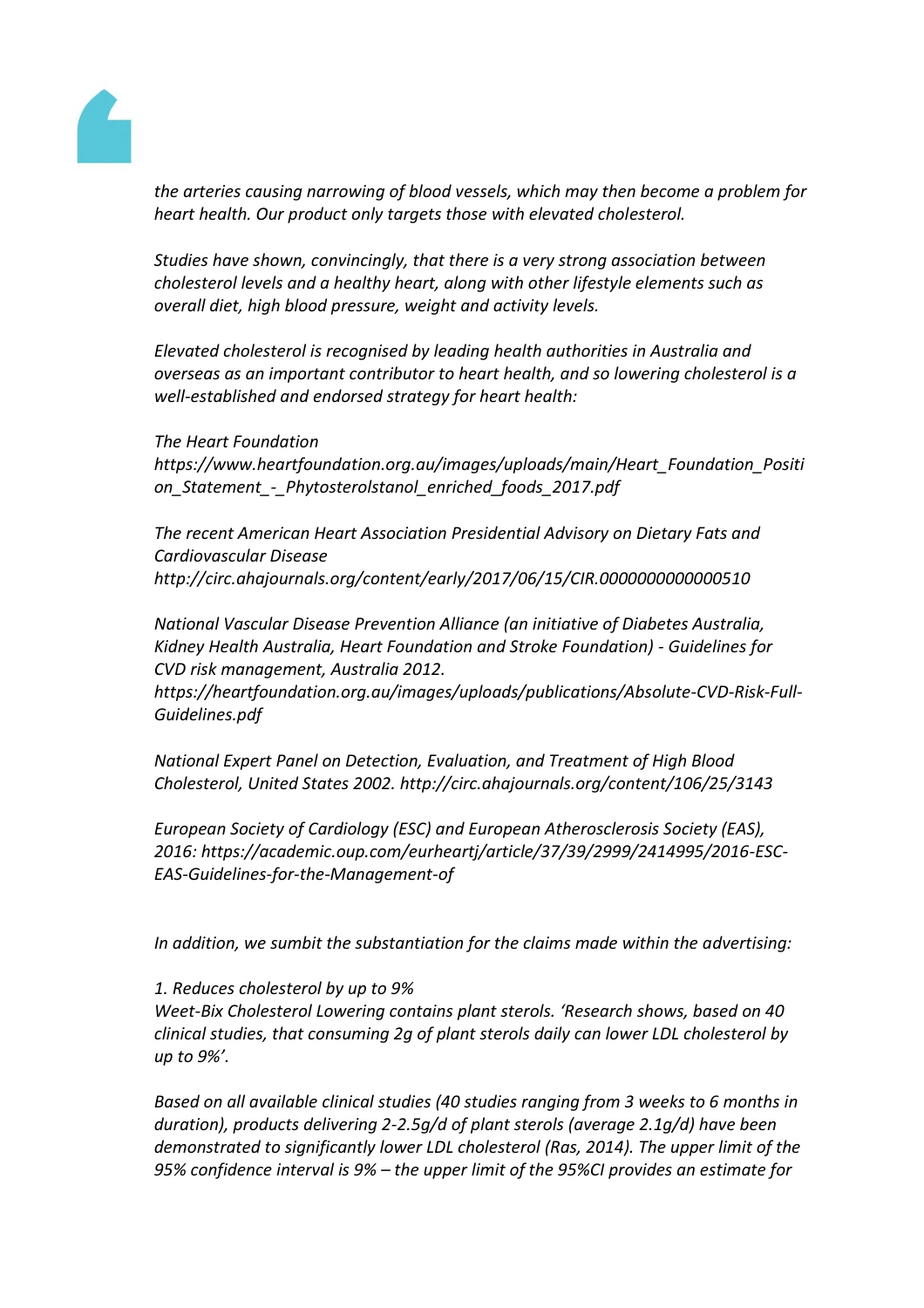

*the arteries causing narrowing of blood vessels, which may then become a problem for heart health. Our product only targets those with elevated cholesterol.*

*Studies have shown, convincingly, that there is a very strong association between cholesterol levels and a healthy heart, along with other lifestyle elements such as overall diet, high blood pressure, weight and activity levels.* 

*Elevated cholesterol is recognised by leading health authorities in Australia and overseas as an important contributor to heart health, and so lowering cholesterol is a well-established and endorsed strategy for heart health:*

#### *The Heart Foundation*

*https://www.heartfoundation.org.au/images/uploads/main/Heart\_Foundation\_Positi on\_Statement\_-\_Phytosterolstanol\_enriched\_foods\_2017.pdf*

*The recent American Heart Association Presidential Advisory on Dietary Fats and Cardiovascular Disease http://circ.ahajournals.org/content/early/2017/06/15/CIR.0000000000000510*

*National Vascular Disease Prevention Alliance (an initiative of Diabetes Australia, Kidney Health Australia, Heart Foundation and Stroke Foundation) - Guidelines for CVD risk management, Australia 2012.* 

*https://heartfoundation.org.au/images/uploads/publications/Absolute-CVD-Risk-Full-Guidelines.pdf* 

*National Expert Panel on Detection, Evaluation, and Treatment of High Blood Cholesterol, United States 2002. http://circ.ahajournals.org/content/106/25/3143* 

*European Society of Cardiology (ESC) and European Atherosclerosis Society (EAS), 2016: https://academic.oup.com/eurheartj/article/37/39/2999/2414995/2016-ESC-EAS-Guidelines-for-the-Management-of* 

*In addition, we sumbit the substantiation for the claims made within the advertising:*

#### *1. Reduces cholesterol by up to 9%*

*Weet-Bix Cholesterol Lowering contains plant sterols. 'Research shows, based on 40 clinical studies, that consuming 2g of plant sterols daily can lower LDL cholesterol by up to 9%'.* 

*Based on all available clinical studies (40 studies ranging from 3 weeks to 6 months in duration), products delivering 2-2.5g/d of plant sterols (average 2.1g/d) have been demonstrated to significantly lower LDL cholesterol (Ras, 2014). The upper limit of the 95% confidence interval is 9% – the upper limit of the 95%CI provides an estimate for*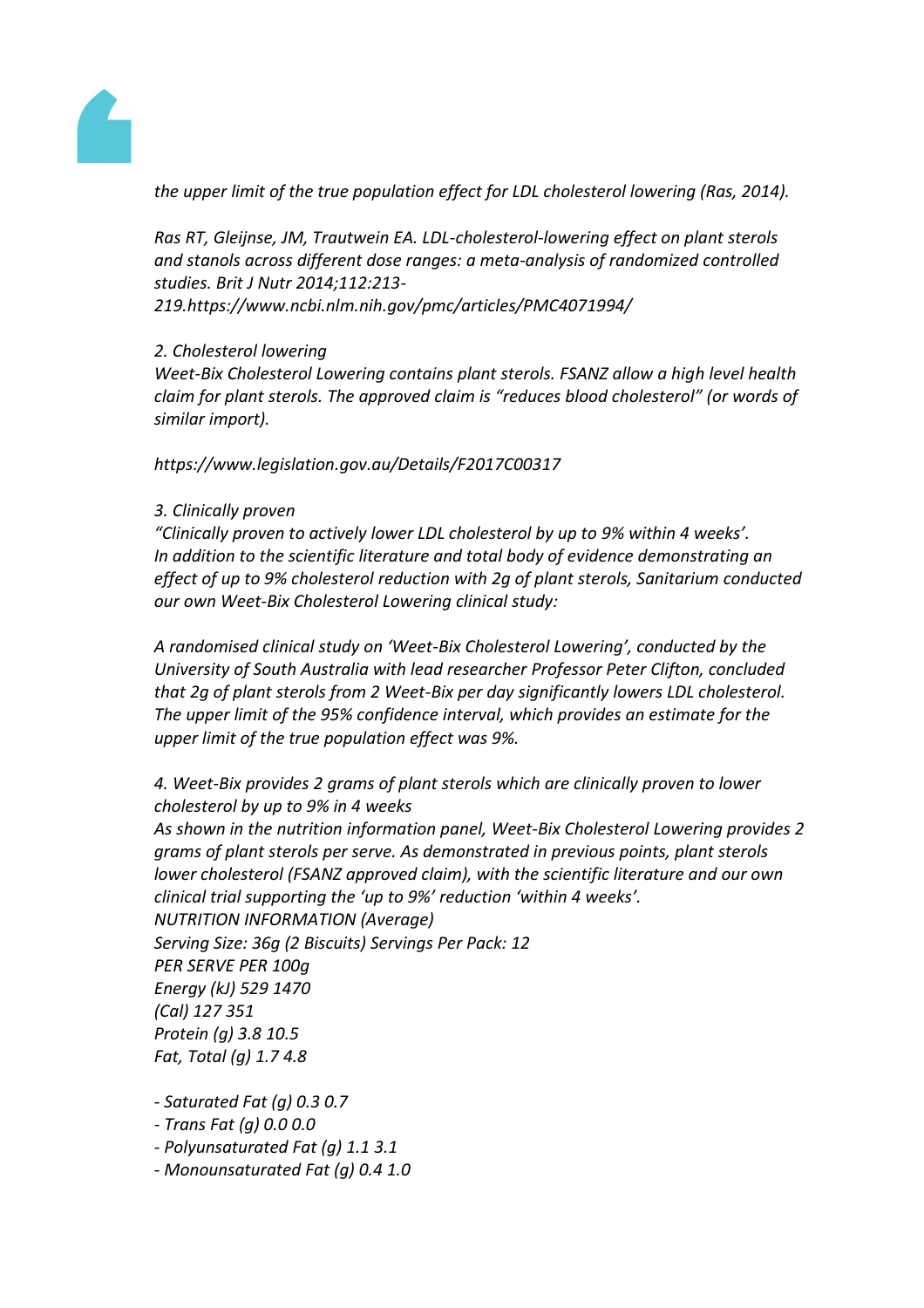

*the upper limit of the true population effect for LDL cholesterol lowering (Ras, 2014).* 

*Ras RT, Gleijnse, JM, Trautwein EA. LDL-cholesterol-lowering effect on plant sterols and stanols across different dose ranges: a meta-analysis of randomized controlled studies. Brit J Nutr 2014;112:213- 219.https://www.ncbi.nlm.nih.gov/pmc/articles/PMC4071994/*

# *2. Cholesterol lowering*

*Weet-Bix Cholesterol Lowering contains plant sterols. FSANZ allow a high level health claim for plant sterols. The approved claim is "reduces blood cholesterol" (or words of similar import).*

*https://www.legislation.gov.au/Details/F2017C00317*

# *3. Clinically proven*

*"Clinically proven to actively lower LDL cholesterol by up to 9% within 4 weeks'. In addition to the scientific literature and total body of evidence demonstrating an effect of up to 9% cholesterol reduction with 2g of plant sterols, Sanitarium conducted our own Weet-Bix Cholesterol Lowering clinical study:* 

*A randomised clinical study on 'Weet-Bix Cholesterol Lowering', conducted by the University of South Australia with lead researcher Professor Peter Clifton, concluded that 2g of plant sterols from 2 Weet-Bix per day significantly lowers LDL cholesterol. The upper limit of the 95% confidence interval, which provides an estimate for the upper limit of the true population effect was 9%.* 

*4. Weet-Bix provides 2 grams of plant sterols which are clinically proven to lower cholesterol by up to 9% in 4 weeks*

*As shown in the nutrition information panel, Weet-Bix Cholesterol Lowering provides 2 grams of plant sterols per serve. As demonstrated in previous points, plant sterols lower cholesterol (FSANZ approved claim), with the scientific literature and our own clinical trial supporting the 'up to 9%' reduction 'within 4 weeks'. NUTRITION INFORMATION (Average)*

*Serving Size: 36g (2 Biscuits) Servings Per Pack: 12 PER SERVE PER 100g Energy (kJ) 529 1470 (Cal) 127 351 Protein (g) 3.8 10.5 Fat, Total (g) 1.7 4.8*

- *- Saturated Fat (g) 0.3 0.7*
- *- Trans Fat (g) 0.0 0.0*
- *- Polyunsaturated Fat (g) 1.1 3.1*
- *- Monounsaturated Fat (g) 0.4 1.0*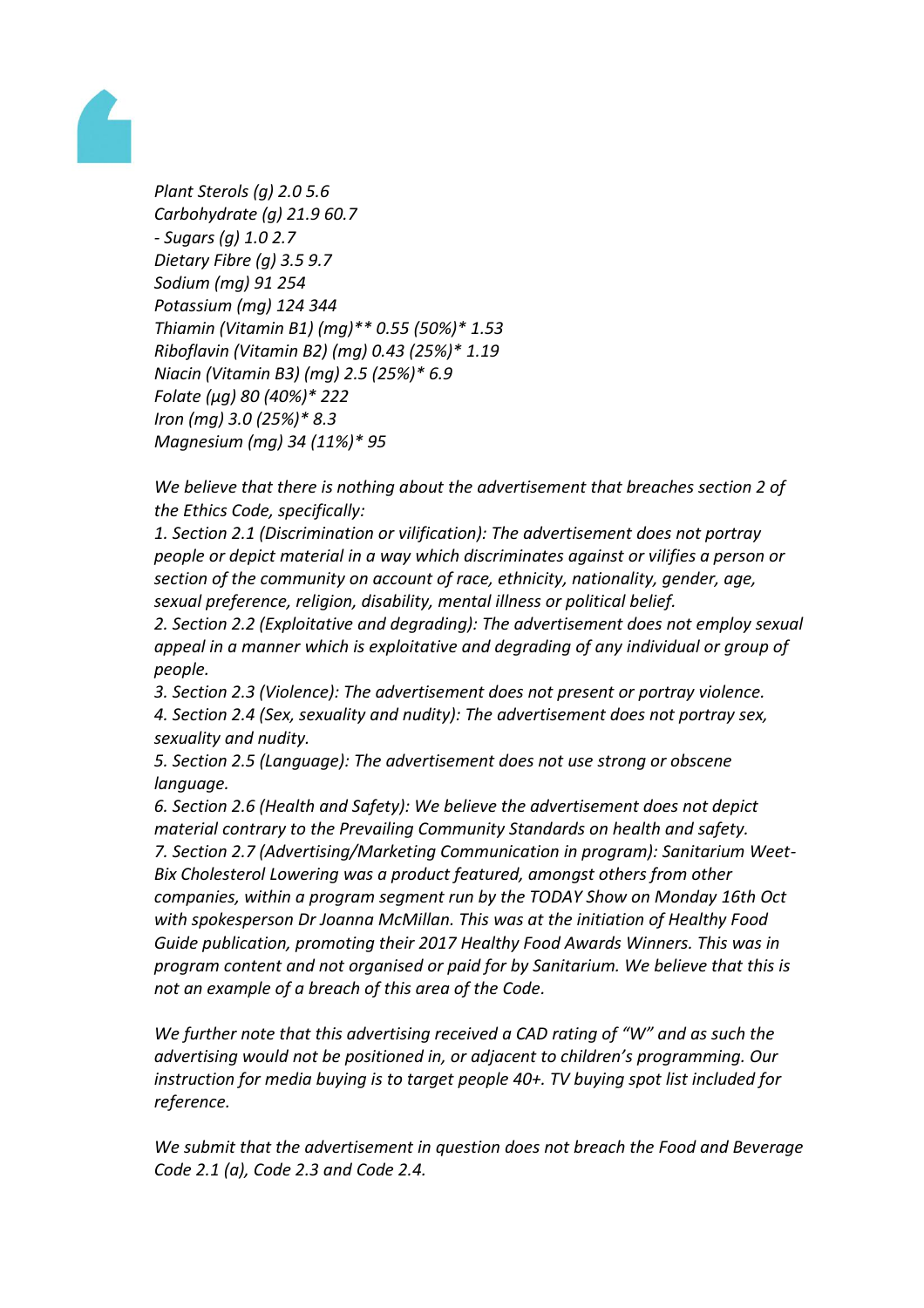

*Plant Sterols (g) 2.0 5.6 Carbohydrate (g) 21.9 60.7 - Sugars (g) 1.0 2.7 Dietary Fibre (g) 3.5 9.7 Sodium (mg) 91 254 Potassium (mg) 124 344 Thiamin (Vitamin B1) (mg)\*\* 0.55 (50%)\* 1.53 Riboflavin (Vitamin B2) (mg) 0.43 (25%)\* 1.19 Niacin (Vitamin B3) (mg) 2.5 (25%)\* 6.9 Folate (µg) 80 (40%)\* 222 Iron (mg) 3.0 (25%)\* 8.3 Magnesium (mg) 34 (11%)\* 95*

*We believe that there is nothing about the advertisement that breaches section 2 of the Ethics Code, specifically:*

*1. Section 2.1 (Discrimination or vilification): The advertisement does not portray people or depict material in a way which discriminates against or vilifies a person or section of the community on account of race, ethnicity, nationality, gender, age, sexual preference, religion, disability, mental illness or political belief.*

*2. Section 2.2 (Exploitative and degrading): The advertisement does not employ sexual appeal in a manner which is exploitative and degrading of any individual or group of people.*

*3. Section 2.3 (Violence): The advertisement does not present or portray violence. 4. Section 2.4 (Sex, sexuality and nudity): The advertisement does not portray sex, sexuality and nudity.*

*5. Section 2.5 (Language): The advertisement does not use strong or obscene language.*

*6. Section 2.6 (Health and Safety): We believe the advertisement does not depict material contrary to the Prevailing Community Standards on health and safety. 7. Section 2.7 (Advertising/Marketing Communication in program): Sanitarium Weet-Bix Cholesterol Lowering was a product featured, amongst others from other companies, within a program segment run by the TODAY Show on Monday 16th Oct with spokesperson Dr Joanna McMillan. This was at the initiation of Healthy Food Guide publication, promoting their 2017 Healthy Food Awards Winners. This was in program content and not organised or paid for by Sanitarium. We believe that this is not an example of a breach of this area of the Code.*

*We further note that this advertising received a CAD rating of "W" and as such the advertising would not be positioned in, or adjacent to children's programming. Our instruction for media buying is to target people 40+. TV buying spot list included for reference.*

*We submit that the advertisement in question does not breach the Food and Beverage Code 2.1 (a), Code 2.3 and Code 2.4.*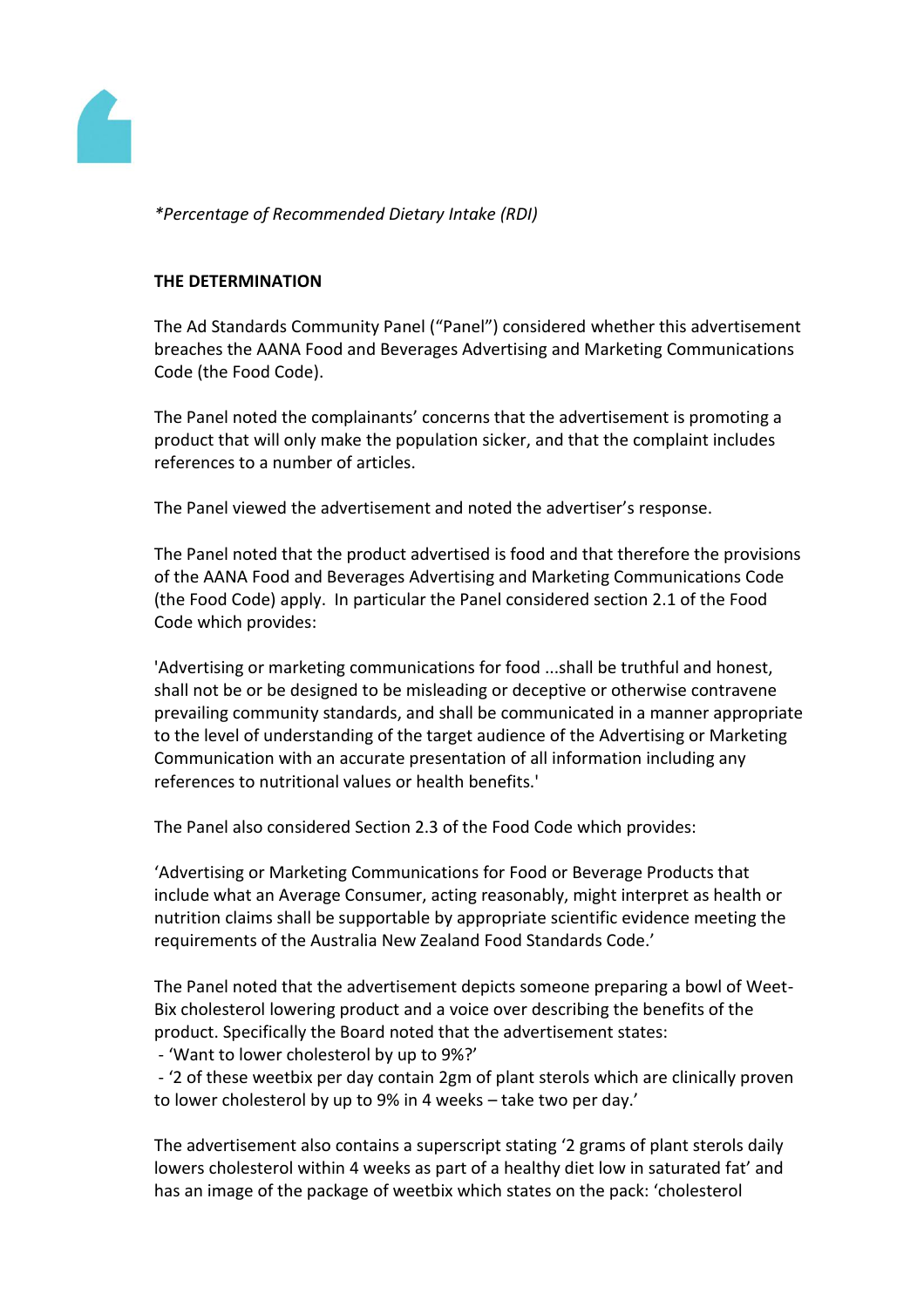

*\*Percentage of Recommended Dietary Intake (RDI)* 

#### **THE DETERMINATION**

The Ad Standards Community Panel ("Panel") considered whether this advertisement breaches the AANA Food and Beverages Advertising and Marketing Communications Code (the Food Code).

The Panel noted the complainants' concerns that the advertisement is promoting a product that will only make the population sicker, and that the complaint includes references to a number of articles.

The Panel viewed the advertisement and noted the advertiser's response.

The Panel noted that the product advertised is food and that therefore the provisions of the AANA Food and Beverages Advertising and Marketing Communications Code (the Food Code) apply. In particular the Panel considered section 2.1 of the Food Code which provides:

'Advertising or marketing communications for food ...shall be truthful and honest, shall not be or be designed to be misleading or deceptive or otherwise contravene prevailing community standards, and shall be communicated in a manner appropriate to the level of understanding of the target audience of the Advertising or Marketing Communication with an accurate presentation of all information including any references to nutritional values or health benefits.'

The Panel also considered Section 2.3 of the Food Code which provides:

'Advertising or Marketing Communications for Food or Beverage Products that include what an Average Consumer, acting reasonably, might interpret as health or nutrition claims shall be supportable by appropriate scientific evidence meeting the requirements of the Australia New Zealand Food Standards Code.'

The Panel noted that the advertisement depicts someone preparing a bowl of Weet-Bix cholesterol lowering product and a voice over describing the benefits of the product. Specifically the Board noted that the advertisement states:

- 'Want to lower cholesterol by up to 9%?'

- '2 of these weetbix per day contain 2gm of plant sterols which are clinically proven to lower cholesterol by up to 9% in 4 weeks – take two per day.'

The advertisement also contains a superscript stating '2 grams of plant sterols daily lowers cholesterol within 4 weeks as part of a healthy diet low in saturated fat' and has an image of the package of weetbix which states on the pack: 'cholesterol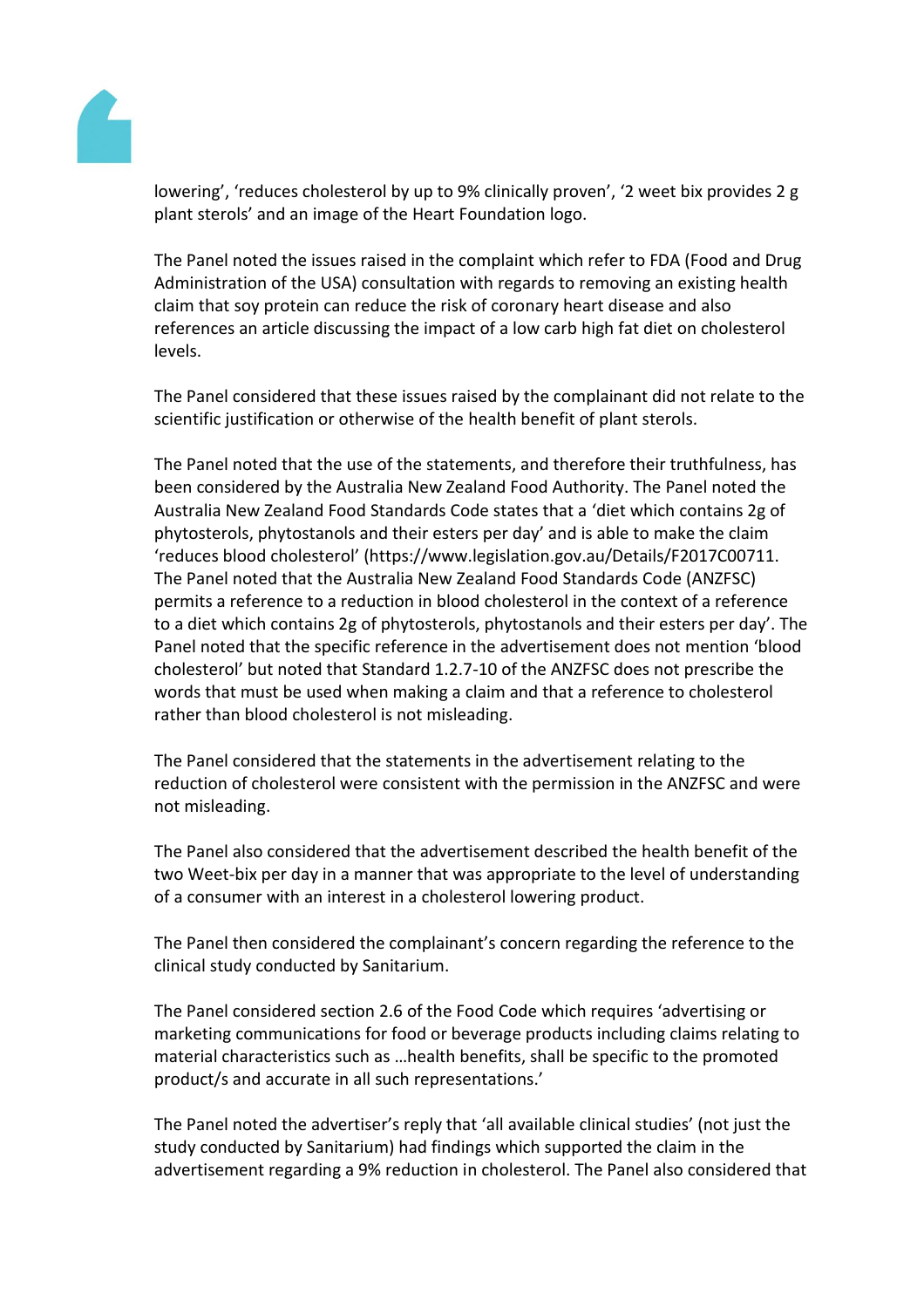

lowering', 'reduces cholesterol by up to 9% clinically proven', '2 weet bix provides 2 g plant sterols' and an image of the Heart Foundation logo.

The Panel noted the issues raised in the complaint which refer to FDA (Food and Drug Administration of the USA) consultation with regards to removing an existing health claim that soy protein can reduce the risk of coronary heart disease and also references an article discussing the impact of a low carb high fat diet on cholesterol levels.

The Panel considered that these issues raised by the complainant did not relate to the scientific justification or otherwise of the health benefit of plant sterols.

The Panel noted that the use of the statements, and therefore their truthfulness, has been considered by the Australia New Zealand Food Authority. The Panel noted the Australia New Zealand Food Standards Code states that a 'diet which contains 2g of phytosterols, phytostanols and their esters per day' and is able to make the claim 'reduces blood cholesterol' (https://www.legislation.gov.au/Details/F2017C00711. The Panel noted that the Australia New Zealand Food Standards Code (ANZFSC) permits a reference to a reduction in blood cholesterol in the context of a reference to a diet which contains 2g of phytosterols, phytostanols and their esters per day'. The Panel noted that the specific reference in the advertisement does not mention 'blood cholesterol' but noted that Standard 1.2.7-10 of the ANZFSC does not prescribe the words that must be used when making a claim and that a reference to cholesterol rather than blood cholesterol is not misleading.

The Panel considered that the statements in the advertisement relating to the reduction of cholesterol were consistent with the permission in the ANZFSC and were not misleading.

The Panel also considered that the advertisement described the health benefit of the two Weet-bix per day in a manner that was appropriate to the level of understanding of a consumer with an interest in a cholesterol lowering product.

The Panel then considered the complainant's concern regarding the reference to the clinical study conducted by Sanitarium.

The Panel considered section 2.6 of the Food Code which requires 'advertising or marketing communications for food or beverage products including claims relating to material characteristics such as …health benefits, shall be specific to the promoted product/s and accurate in all such representations.'

The Panel noted the advertiser's reply that 'all available clinical studies' (not just the study conducted by Sanitarium) had findings which supported the claim in the advertisement regarding a 9% reduction in cholesterol. The Panel also considered that